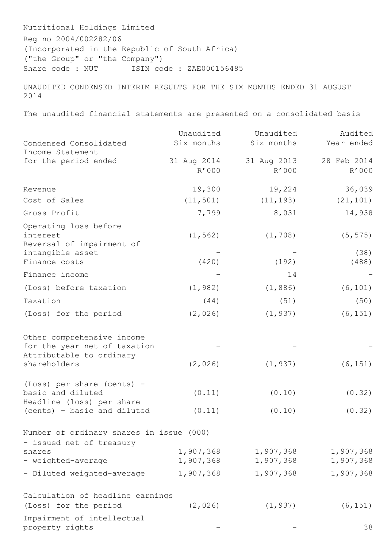Nutritional Holdings Limited Reg no 2004/002282/06 (Incorporated in the Republic of South Africa) ("the Group" or "the Company") Share code : NUT ISIN code : ZAE000156485

UNAUDITED CONDENSED INTERIM RESULTS FOR THE SIX MONTHS ENDED 31 AUGUST 2014

The unaudited financial statements are presented on a consolidated basis

|                                          | Unaudited   | Unaudited   | Audited       |
|------------------------------------------|-------------|-------------|---------------|
| Condensed Consolidated                   | Six months  | Six months  | Year ended    |
| Income Statement                         |             |             |               |
| for the period ended                     | 31 Aug 2014 | 31 Aug 2013 | 28 Feb 2014   |
|                                          | R'000       | R'000       | R'000         |
| Revenue                                  | 19,300      | 19,224      | 36,039        |
| Cost of Sales                            | (11, 501)   | (11, 193)   | (21, 101)     |
| Gross Profit                             | 7,799       | 8,031       | 14,938        |
| Operating loss before                    |             |             |               |
| interest                                 | (1, 562)    | (1, 708)    | (5, 575)      |
| Reversal of impairment of                |             |             |               |
| intangible asset<br>Finance costs        | (420)       | (192)       | (38)<br>(488) |
| Finance income                           |             | 14          |               |
| (Loss) before taxation                   | (1, 982)    | (1, 886)    | (6, 101)      |
| Taxation                                 | (44)        | (51)        | (50)          |
| (Loss) for the period                    | (2, 026)    | (1, 937)    | (6, 151)      |
|                                          |             |             |               |
| Other comprehensive income               |             |             |               |
| for the year net of taxation             |             |             |               |
| Attributable to ordinary                 |             |             |               |
| shareholders                             | (2, 026)    | (1, 937)    | (6, 151)      |
| (Loss) per share (cents) -               |             |             |               |
| basic and diluted                        | (0.11)      | (0.10)      | (0.32)        |
| Headline (loss) per share                |             |             |               |
| (cents) - basic and diluted              | (0.11)      | (0.10)      | (0.32)        |
| Number of ordinary shares in issue (000) |             |             |               |
| - issued net of treasury                 |             |             |               |
| shares                                   | 1,907,368   | 1,907,368   | 1,907,368     |
| - weighted-average                       | 1,907,368   | 1,907,368   | 1,907,368     |
| - Diluted weighted-average               | 1,907,368   | 1,907,368   | 1,907,368     |
| Calculation of headline earnings         |             |             |               |
| (Loss) for the period                    | (2,026)     | (1, 937)    | (6, 151)      |
| Impairment of intellectual               |             |             |               |
| property rights                          |             |             | 38            |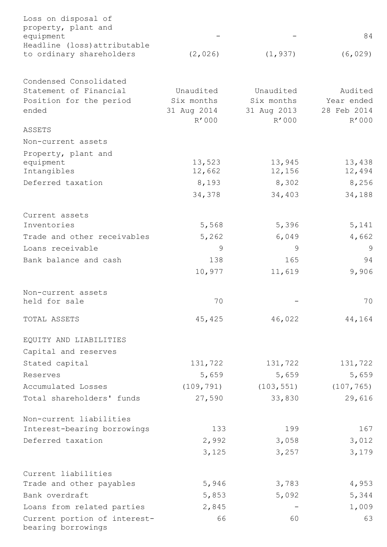| Loss on disposal of                                |                      |                      |                           |
|----------------------------------------------------|----------------------|----------------------|---------------------------|
| property, plant and<br>equipment                   |                      |                      | 84                        |
| Headline (loss) attributable                       |                      |                      |                           |
| to ordinary shareholders                           | (2, 026)             | (1, 937)             | (6, 029)                  |
| Condensed Consolidated                             |                      |                      |                           |
| Statement of Financial                             | Unaudited            | Unaudited            | Audited                   |
| Position for the period<br>ended                   | Six months           | Six months           | Year ended<br>28 Feb 2014 |
|                                                    | 31 Aug 2014<br>R'000 | 31 Aug 2013<br>R'000 | R'000                     |
| ASSETS                                             |                      |                      |                           |
| Non-current assets                                 |                      |                      |                           |
| Property, plant and                                |                      |                      |                           |
| equipment                                          | 13,523               | 13,945               | 13,438                    |
| Intangibles                                        | 12,662               | 12,156<br>8,302      | 12,494                    |
| Deferred taxation                                  | 8,193                |                      | 8,256                     |
|                                                    | 34,378               | 34,403               | 34,188                    |
| Current assets                                     |                      |                      |                           |
| Inventories                                        | 5,568                | 5,396                | 5,141                     |
| Trade and other receivables                        | 5,262                | 6,049                | 4,662                     |
| Loans receivable                                   | 9                    | 9                    | 9                         |
| Bank balance and cash                              | 138                  | 165                  | 94                        |
|                                                    | 10,977               | 11,619               | 9,906                     |
| Non-current assets                                 |                      |                      |                           |
| held for sale                                      | 70                   |                      | 70                        |
| TOTAL ASSETS                                       | 45,425               | 46,022               | 44,164                    |
| EQUITY AND LIABILITIES                             |                      |                      |                           |
| Capital and reserves                               |                      |                      |                           |
| Stated capital                                     | 131,722              | 131,722              | 131,722                   |
| Reserves                                           | 5,659                | 5,659                | 5,659                     |
| Accumulated Losses                                 | (109, 791)           | (103, 551)           | (107, 765)                |
| Total shareholders' funds                          | 27,590               | 33,830               | 29,616                    |
| Non-current liabilities                            |                      |                      |                           |
| Interest-bearing borrowings                        | 133                  | 199                  | 167                       |
| Deferred taxation                                  | 2,992                | 3,058                | 3,012                     |
|                                                    | 3,125                | 3,257                | 3,179                     |
| Current liabilities                                |                      |                      |                           |
| Trade and other payables                           | 5,946                | 3,783                | 4,953                     |
| Bank overdraft                                     | 5,853                | 5,092                | 5,344                     |
| Loans from related parties                         | 2,845                |                      | 1,009                     |
| Current portion of interest-<br>bearing borrowings | 66                   | 60                   | 63                        |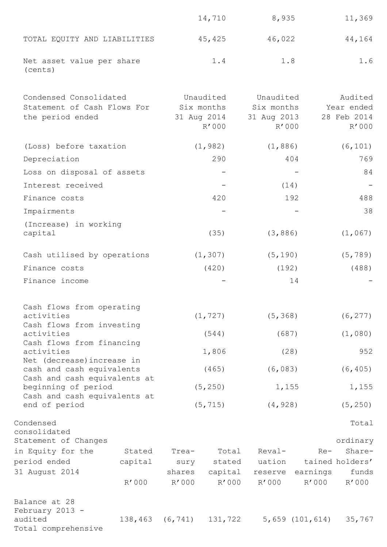|                                      | 14,710 | 8,935  | 11,369 |
|--------------------------------------|--------|--------|--------|
| TOTAL EQUITY AND LIABILITIES         | 45,425 | 46,022 | 44,164 |
| Net asset value per share<br>(cents) | 1.4    | 1.8    | 1.6    |

| Condensed Consolidated<br>Statement of Cash Flows For<br>the period ended | Unaudited<br>Six months<br>31 Aug 2014<br>R'000 | Unaudited<br>Six months<br>31 Aug 2013<br>R'000 | Audited<br>Year ended<br>28 Feb 2014<br>R'000 |
|---------------------------------------------------------------------------|-------------------------------------------------|-------------------------------------------------|-----------------------------------------------|
| (Loss) before taxation                                                    | (1, 982)                                        | (1, 886)                                        | (6, 101)                                      |
| Depreciation                                                              | 290                                             | 404                                             | 769                                           |
| Loss on disposal of assets                                                |                                                 |                                                 | 84                                            |
| Interest received                                                         |                                                 | (14)                                            |                                               |
| Finance costs                                                             | 420                                             | 192                                             | 488                                           |
| Impairments                                                               |                                                 |                                                 | 38                                            |
| (Increase) in working<br>capital                                          | (35)                                            | (3, 886)                                        | (1, 067)                                      |
| Cash utilised by operations                                               | (1, 307)                                        | (5, 190)                                        | (5, 789)                                      |
| Finance costs                                                             | (420)                                           | (192)                                           | (488)                                         |
| Finance income                                                            |                                                 | 14                                              |                                               |
| Cash flows from operating<br>activities<br>Cash flows from investing      | (1, 727)                                        | (5, 368)                                        | (6, 277)                                      |
| activities                                                                | (544)                                           | (687)                                           | (1,080)                                       |
| Cash flows from financing<br>activities<br>Net (decrease) increase in     | 1,806                                           | (28)                                            | 952                                           |
| cash and cash equivalents<br>Cash and cash equivalents at                 | (465)                                           | (6,083)                                         | (6, 405)                                      |

beginning of period (5,250) 1,155 1,155 Cash and cash equivalents at end of period (5,715) (4,928) (5,250) Condensed consolidated Total Statement of Changes and Changes ordinary

| in Equity for the | Stated | Trea- | Total                                      | Reval- | Re- Share- |
|-------------------|--------|-------|--------------------------------------------|--------|------------|
| period ended      |        |       | capital sury stated uation tained_holders' |        |            |
| 31 August 2014    |        |       | shares capital reserve earnings            |        | funds      |
|                   | R'000  |       | R'000 R'000 R'000 R'000                    |        | R'000      |
| Balance at 28     |        |       |                                            |        |            |

February 2013 audited 138,463 (6,741) 131,722 5,659 (101,614) 35,767 Total comprehensive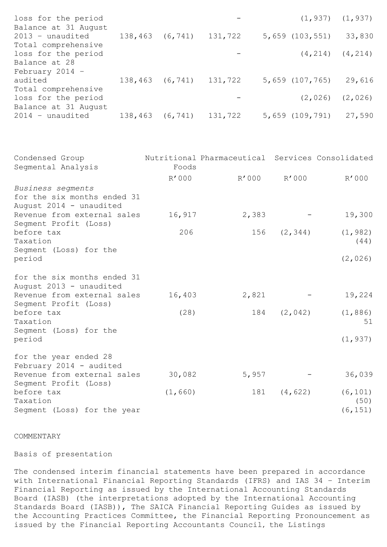| loss for the period                                               |                         |                        | $(1, 937)$ $(1, 937)$ |
|-------------------------------------------------------------------|-------------------------|------------------------|-----------------------|
| Balance at 31 August<br>$2013 - unaudited$<br>Total comprehensive | 138,463 (6,741) 131,722 | 5,659 (103,551) 33,830 |                       |
| loss for the period<br>Balance at 28                              |                         |                        | $(4, 214)$ $(4, 214)$ |
| February $2014 -$                                                 |                         |                        |                       |
| audited                                                           | 138,463 (6,741) 131,722 | 5,659 (107,765) 29,616 |                       |
| Total comprehensive                                               |                         |                        |                       |
| loss for the period                                               |                         |                        | $(2, 026)$ $(2, 026)$ |
| Balance at 31 August                                              |                         |                        |                       |
| $2014 - unaudited$                                                | 138,463 (6,741) 131,722 | 5,659 (109,791) 27,590 |                       |

| Condensed Group<br>Segmental Analysis                                       | Foods    | Nutritional Pharmaceutical Services Consolidated |          |                              |
|-----------------------------------------------------------------------------|----------|--------------------------------------------------|----------|------------------------------|
|                                                                             | R'000    | R'000                                            | R'000    | R'000                        |
| Business segments<br>for the six months ended 31<br>August 2014 - unaudited |          |                                                  |          |                              |
| Revenue from external sales<br>Segment Profit (Loss)                        | 16,917   | 2,383                                            |          | 19,300                       |
| before tax<br>Taxation                                                      | 206      | 156                                              | (2, 344) | (1, 982)<br>(44)             |
| Segment (Loss) for the<br>period                                            |          |                                                  |          | (2, 026)                     |
| for the six months ended 31<br>August 2013 - unaudited                      |          |                                                  |          |                              |
| Revenue from external sales<br>Segment Profit (Loss)                        | 16,403   | 2,821                                            |          | 19,224                       |
| before tax<br>Taxation                                                      | (28)     | 184                                              | (2, 042) | (1, 886)<br>51               |
| Segment (Loss) for the<br>period                                            |          |                                                  |          | (1, 937)                     |
| for the year ended 28<br>February 2014 - audited                            |          |                                                  |          |                              |
| Revenue from external sales<br>Segment Profit (Loss)                        | 30,082   | 5,957                                            |          | 36,039                       |
| before tax<br>Taxation<br>Segment (Loss) for the year                       | (1, 660) | 181                                              | (4, 622) | (6, 101)<br>(50)<br>(6, 151) |

# COMMENTARY

# Basis of presentation

The condensed interim financial statements have been prepared in accordance with International Financial Reporting Standards (IFRS) and IAS 34 – Interim Financial Reporting as issued by the International Accounting Standards Board (IASB) (the interpretations adopted by the International Accounting Standards Board (IASB)), The SAICA Financial Reporting Guides as issued by the Accounting Practices Committee, the Financial Reporting Pronouncement as issued by the Financial Reporting Accountants Council, the Listings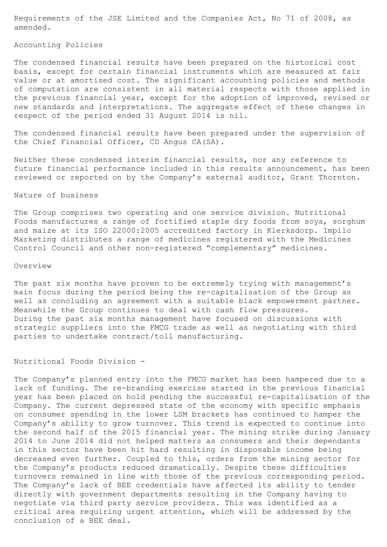Requirements of the JSE Limited and the Companies Act, No 71 of 2008, as amended.

Accounting Policies

The condensed financial results have been prepared on the historical cost basis, except for certain financial instruments which are measured at fair value or at amortised cost. The significant accounting policies and methods of computation are consistent in all material respects with those applied in the previous financial year, except for the adoption of improved, revised or new standards and interpretations. The aggregate effect of these changes in respect of the period ended 31 August 2014 is nil.

The condensed financial results have been prepared under the supervision of the Chief Financial Officer, CD Angus CA(SA).

Neither these condensed interim financial results, nor any reference to future financial performance included in this results announcement, has been reviewed or reported on by the Company's external auditor, Grant Thornton.

#### Nature of business

The Group comprises two operating and one service division. Nutritional Foods manufactures a range of fortified staple dry foods from soya, sorghum and maize at its ISO 22000:2005 accredited factory in Klerksdorp. Impilo Marketing distributes a range of medicines registered with the Medicines Control Council and other non-registered "complementary" medicines.

#### Overview

The past six months have proven to be extremely trying with management's main focus during the period being the re-capitalisation of the Group as well as concluding an agreement with a suitable black empowerment partner. Meanwhile the Group continues to deal with cash flow pressures. During the past six months management have focused on discussions with strategic suppliers into the FMCG trade as well as negotiating with third parties to undertake contract/toll manufacturing.

# Nutritional Foods Division -

The Company's planned entry into the FMCG market has been hampered due to a lack of funding. The re-branding exercise started in the previous financial year has been placed on hold pending the successful re-capitalisation of the Company. The current depressed state of the economy with specific emphasis on consumer spending in the lower LSM brackets has continued to hamper the Company's ability to grow turnover. This trend is expected to continue into the second half of the 2015 financial year. The mining strike during January 2014 to June 2014 did not helped matters as consumers and their dependants in this sector have been hit hard resulting in disposable income being decreased even further. Coupled to this, orders from the mining sector for the Company's products reduced dramatically. Despite these difficulties turnovers remained in line with those of the previous corresponding period. The Company's lack of BEE credentials have affected its ability to tender directly with government departments resulting in the Company having to negotiate via third party service providers. This was identified as a critical area requiring urgent attention, which will be addressed by the conclusion of a BEE deal.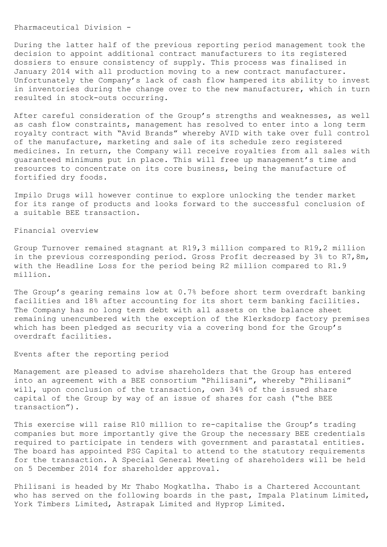Pharmaceutical Division -

During the latter half of the previous reporting period management took the decision to appoint additional contract manufacturers to its registered dossiers to ensure consistency of supply. This process was finalised in January 2014 with all production moving to a new contract manufacturer. Unfortunately the Company's lack of cash flow hampered its ability to invest in inventories during the change over to the new manufacturer, which in turn resulted in stock-outs occurring.

After careful consideration of the Group's strengths and weaknesses, as well as cash flow constraints, management has resolved to enter into a long term royalty contract with "Avid Brands" whereby AVID with take over full control of the manufacture, marketing and sale of its schedule zero registered medicines. In return, the Company will receive royalties from all sales with guaranteed minimums put in place. This will free up management's time and resources to concentrate on its core business, being the manufacture of fortified dry foods.

Impilo Drugs will however continue to explore unlocking the tender market for its range of products and looks forward to the successful conclusion of a suitable BEE transaction.

## Financial overview

Group Turnover remained stagnant at R19,3 million compared to R19,2 million in the previous corresponding period. Gross Profit decreased by 3% to R7,8m, with the Headline Loss for the period being R2 million compared to R1.9 million.

The Group's gearing remains low at 0.7% before short term overdraft banking facilities and 18% after accounting for its short term banking facilities. The Company has no long term debt with all assets on the balance sheet remaining unencumbered with the exception of the Klerksdorp factory premises which has been pledged as security via a covering bond for the Group's overdraft facilities.

Events after the reporting period

Management are pleased to advise shareholders that the Group has entered into an agreement with a BEE consortium "Philisani", whereby "Philisani" will, upon conclusion of the transaction, own 34% of the issued share capital of the Group by way of an issue of shares for cash ("the BEE transaction").

This exercise will raise R10 million to re-capitalise the Group's trading companies but more importantly give the Group the necessary BEE credentials required to participate in tenders with government and parastatal entities. The board has appointed PSG Capital to attend to the statutory requirements for the transaction. A Special General Meeting of shareholders will be held on 5 December 2014 for shareholder approval.

Philisani is headed by Mr Thabo Mogkatlha. Thabo is a Chartered Accountant who has served on the following boards in the past, Impala Platinum Limited, York Timbers Limited, Astrapak Limited and Hyprop Limited.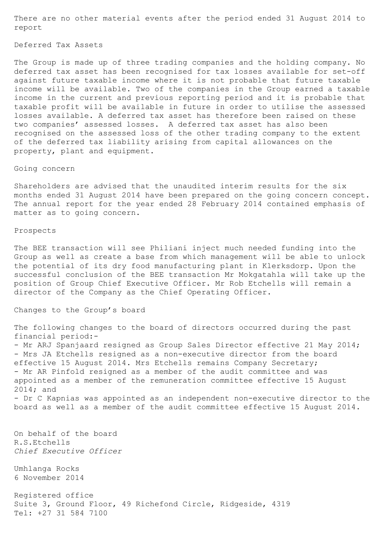There are no other material events after the period ended 31 August 2014 to report

#### Deferred Tax Assets

The Group is made up of three trading companies and the holding company. No deferred tax asset has been recognised for tax losses available for set-off against future taxable income where it is not probable that future taxable income will be available. Two of the companies in the Group earned a taxable income in the current and previous reporting period and it is probable that taxable profit will be available in future in order to utilise the assessed losses available. A deferred tax asset has therefore been raised on these two companies' assessed losses. A deferred tax asset has also been recognised on the assessed loss of the other trading company to the extent of the deferred tax liability arising from capital allowances on the property, plant and equipment.

#### Going concern

Shareholders are advised that the unaudited interim results for the six months ended 31 August 2014 have been prepared on the going concern concept. The annual report for the year ended 28 February 2014 contained emphasis of matter as to going concern.

## Prospects

The BEE transaction will see Philiani inject much needed funding into the Group as well as create a base from which management will be able to unlock the potential of its dry food manufacturing plant in Klerksdorp. Upon the successful conclusion of the BEE transaction Mr Mokgatahla will take up the position of Group Chief Executive Officer. Mr Rob Etchells will remain a director of the Company as the Chief Operating Officer.

### Changes to the Group's board

The following changes to the board of directors occurred during the past financial period:- - Mr ARJ Spanjaard resigned as Group Sales Director effective 21 May 2014; - Mrs JA Etchells resigned as a non-executive director from the board effective 15 August 2014. Mrs Etchells remains Company Secretary; - Mr AR Pinfold resigned as a member of the audit committee and was appointed as a member of the remuneration committee effective 15 August 2014; and - Dr C Kapnias was appointed as an independent non-executive director to the board as well as a member of the audit committee effective 15 August 2014.

On behalf of the board R.S.Etchells *Chief Executive Officer*

Umhlanga Rocks 6 November 2014

Registered office Suite 3, Ground Floor, 49 Richefond Circle, Ridgeside, 4319 Tel: +27 31 584 7100